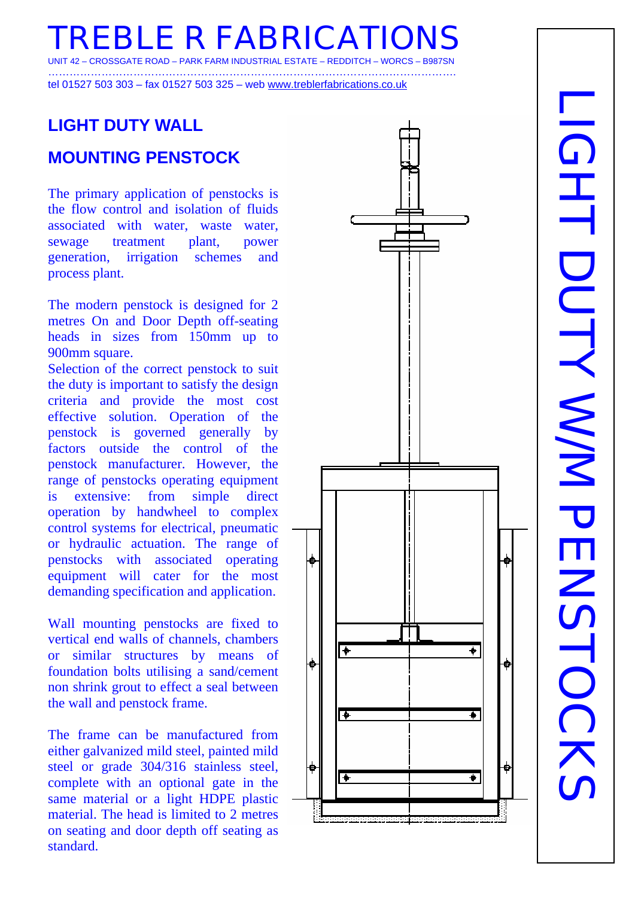**REBLE R FABRICATIO** CROSSGATE ROAD

…………………………………………………………………………………………………….

tel 01527 503 303 – fax 01527 503 325 – web www.treblerfabrications.co.uk

# **LIGHT DUTY WALL**

### **MOUNTING PENSTOCK**

The primary application of penstocks is the flow control and isolation of fluids associated with water, waste water, sewage treatment plant, power generation, irrigation schemes and process plant.

The modern penstock is designed for 2 metres On and Door Depth off-seating heads in sizes from 150mm up to 900mm square. Selection of the correct penstock to suit

the duty is important to satisfy the design criteria and provide the most cost effective solution. Operation of the penstock is governed generally by factors outside the control of the penstock manufacturer. However, the range of penstocks operating equipment is extensive: from simple direct operation by handwheel to complex control systems for electrical, pneumatic or hydraulic actuation. The range of penstocks with associated operating equipment will cater for the most demanding specification and application.

Wall mounting penstocks are fixed to vertical end walls of channels, chambers or similar structures by means of foundation bolts utilising a sand/cement non shrink grout to effect a seal between the wall and penstock frame.

The frame can be manufactured from either galvanized mild steel, painted mild steel or grade 304/316 stainless steel, complete with an optional gate in the same material or a light HDPE plastic material. The head is limited to 2 metres on seating and door depth off seating as standard.



# LIGHT DUTY WAYAT DENSTOCKS LIGHT DUTY YNN PENSTOCKS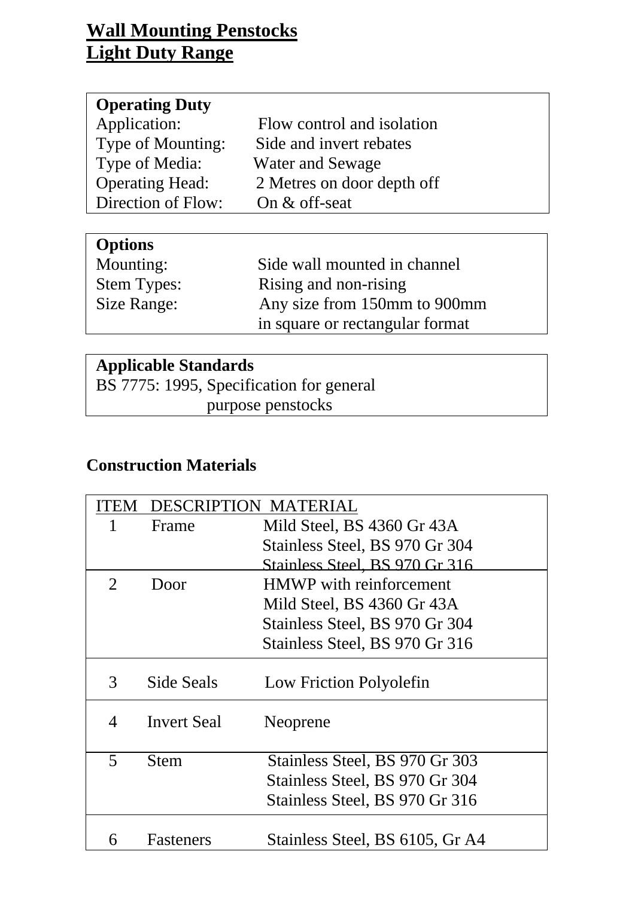## **Wall Mounting Penstocks Light Duty Range**

| Flow control and isolation |
|----------------------------|
| Side and invert rebates    |
| Water and Sewage           |
| 2 Metres on door depth off |
| On & off-seat              |
|                            |

| <b>Options</b>     |                                 |
|--------------------|---------------------------------|
| Mounting:          | Side wall mounted in channel    |
| <b>Stem Types:</b> | Rising and non-rising           |
| Size Range:        | Any size from 150mm to 900mm    |
|                    | in square or rectangular format |

### **Applicable Standards**

BS 7775: 1995, Specification for general purpose penstocks

### **Construction Materials**

|                         |                    | DESCRIPTION MATERIAL            |
|-------------------------|--------------------|---------------------------------|
|                         | Frame              | Mild Steel, BS 4360 Gr 43A      |
|                         |                    | Stainless Steel, BS 970 Gr 304  |
|                         |                    | Stainless Steel, BS 970 Gr 316  |
| $\overline{2}$          | Door               | <b>HMWP</b> with reinforcement  |
|                         |                    | Mild Steel, BS 4360 Gr 43A      |
|                         |                    | Stainless Steel, BS 970 Gr 304  |
|                         |                    | Stainless Steel, BS 970 Gr 316  |
| 3                       | Side Seals         | Low Friction Polyolefin         |
| 4                       | <b>Invert Seal</b> | Neoprene                        |
| $\overline{\mathbf{5}}$ | Stem               | Stainless Steel, BS 970 Gr 303  |
|                         |                    | Stainless Steel, BS 970 Gr 304  |
|                         |                    | Stainless Steel, BS 970 Gr 316  |
| 6                       | <b>Fasteners</b>   | Stainless Steel, BS 6105, Gr A4 |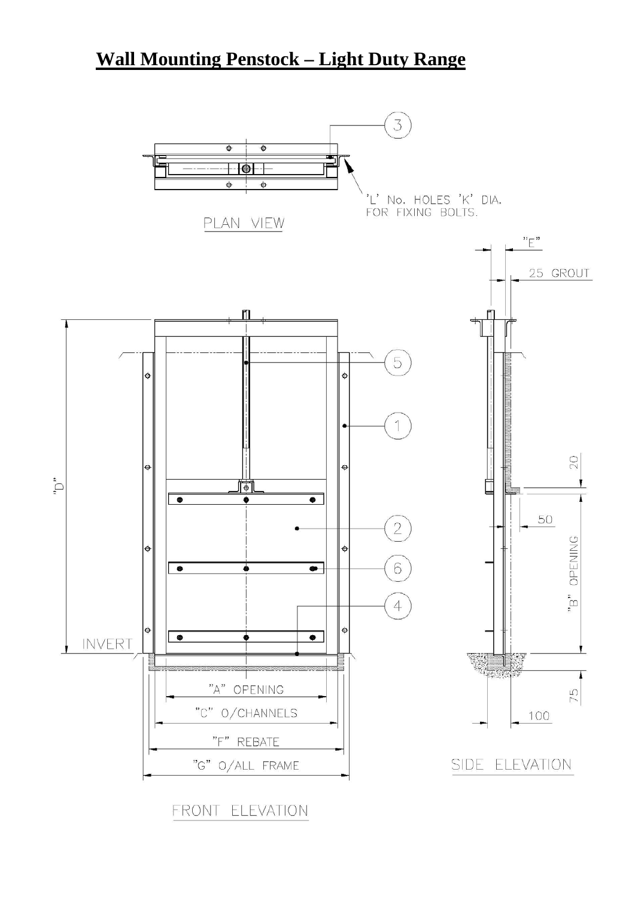# **Wall Mounting Penstock – Light Duty Range**



FRONT ELEVATION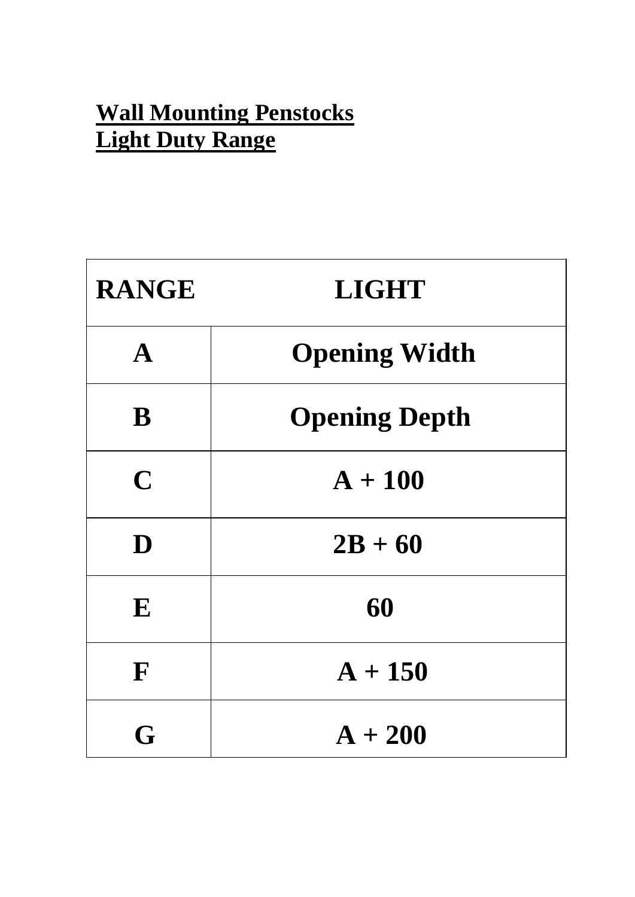# **Wall Mounting Penstocks Light Duty Range**

| <b>RANGE</b> | <b>LIGHT</b>         |
|--------------|----------------------|
| $\mathbf{A}$ | <b>Opening Width</b> |
| B            | <b>Opening Depth</b> |
| $\mathbf C$  | $A + 100$            |
| D            | $2B + 60$            |
| E            | 60                   |
| F            | $A + 150$            |
| G            | $A + 200$            |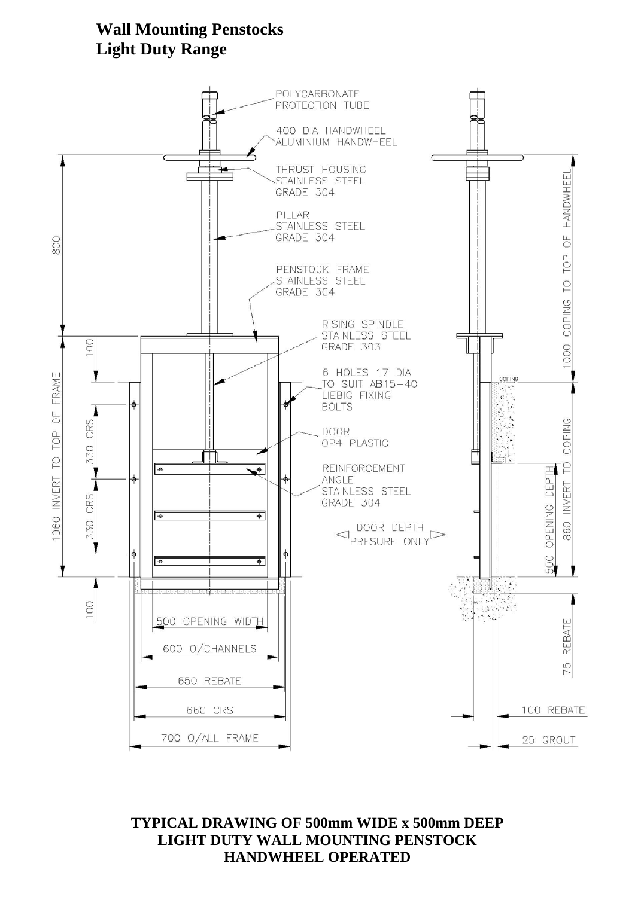### **Wall Mounting Penstocks Light Duty Range**



**TYPICAL DRAWING OF 500mm WIDE x 500mm DEEP LIGHT DUTY WALL MOUNTING PENSTOCK HANDWHEEL OPERATED**